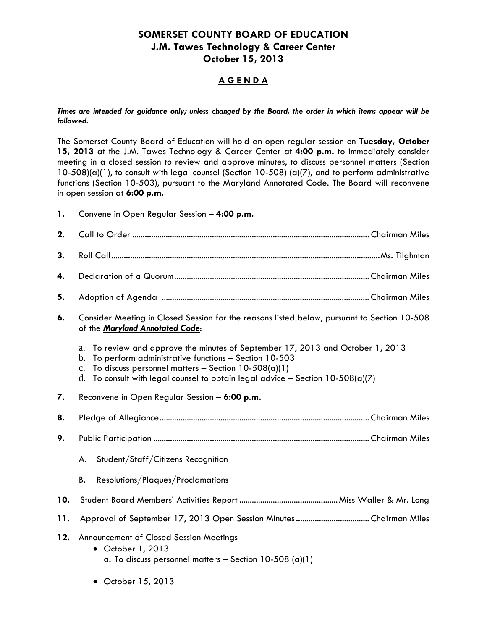## **SOMERSET COUNTY BOARD OF EDUCATION J.M. Tawes Technology & Career Center October 15, 2013**

## **A G E N D A**

*Times are intended for guidance only; unless changed by the Board, the order in which items appear will be followed.* 

The Somerset County Board of Education will hold an open regular session on **Tuesday, October 15, 2013** at the J.M. Tawes Technology & Career Center at **4:00 p.m.** to immediately consider meeting in a closed session to review and approve minutes, to discuss personnel matters (Section 10-508)(a)(1), to consult with legal counsel (Section 10-508) (a)(7), and to perform administrative functions (Section 10-503), pursuant to the Maryland Annotated Code. The Board will reconvene in open session at **6:00 p.m.**

**1.** Convene in Open Regular Session – **4:00 p.m.**

| 2.  |                                                                                                                                                                                                                                                                                                                             |  |  |
|-----|-----------------------------------------------------------------------------------------------------------------------------------------------------------------------------------------------------------------------------------------------------------------------------------------------------------------------------|--|--|
| 3.  |                                                                                                                                                                                                                                                                                                                             |  |  |
| 4.  |                                                                                                                                                                                                                                                                                                                             |  |  |
| 5.  |                                                                                                                                                                                                                                                                                                                             |  |  |
| 6.  | Consider Meeting in Closed Session for the reasons listed below, pursuant to Section 10-508<br>of the Maryland Annotated Code:                                                                                                                                                                                              |  |  |
|     | To review and approve the minutes of September 17, 2013 and October 1, 2013<br>a.<br>To perform administrative functions - Section 10-503<br>$\mathbf b$ .<br>To discuss personnel matters - Section $10-508(a)(1)$<br>$C_{\bullet}$<br>To consult with legal counsel to obtain legal advice - Section $10-508(a)(7)$<br>d. |  |  |
| 7.  | Reconvene in Open Regular Session - 6:00 p.m.                                                                                                                                                                                                                                                                               |  |  |
| 8.  |                                                                                                                                                                                                                                                                                                                             |  |  |
| 9.  |                                                                                                                                                                                                                                                                                                                             |  |  |
|     | Student/Staff/Citizens Recognition<br>А.                                                                                                                                                                                                                                                                                    |  |  |
|     | Resolutions/Plaques/Proclamations<br>В.                                                                                                                                                                                                                                                                                     |  |  |
| 10. |                                                                                                                                                                                                                                                                                                                             |  |  |
| 11. |                                                                                                                                                                                                                                                                                                                             |  |  |
|     | Announcement of Closed Session Meetings<br>• October 1, 2013<br>a. To discuss personnel matters - Section $10-508$ (a)(1)                                                                                                                                                                                                   |  |  |

October 15, 2013